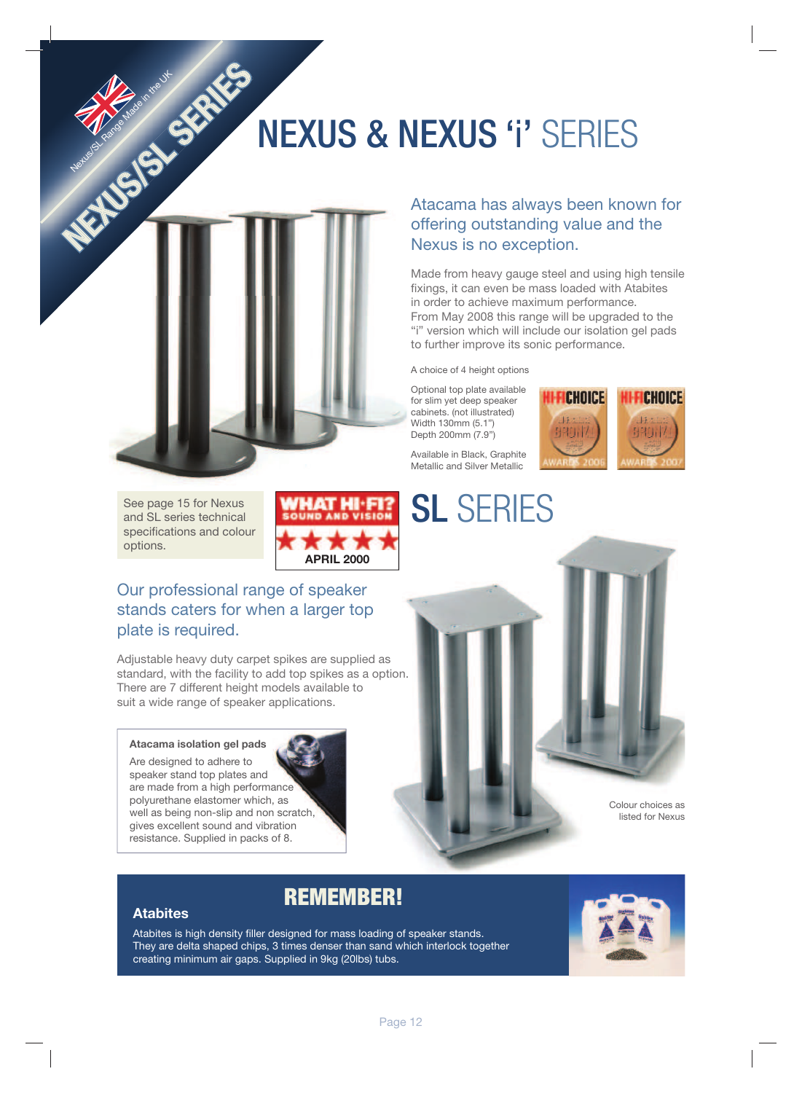# NEXUS & NEXUS 'i' SERIES



Nexus of Made in the UK

Atacama has always been known for offering outstanding value and the Nexus is no exception.

Made from heavy gauge steel and using high tensile fixings, it can even be mass loaded with Atabites in order to achieve maximum performance. From May 2008 this range will be upgraded to the "i" version which will include our isolation gel pads to further improve its sonic performance.

A choice of 4 height options

Optional top plate available for slim yet deep speaker cabinets. (not illustrated) Width 130mm (5.1") Depth 200mm (7.9")

Available in Black, Graphite Metallic and Silver Metallic

SL SERIES





See page 15 for Nexus and SL series technical specifications and colour options.



Our professional range of speaker stands caters for when a larger top plate is required.

Adjustable heavy duty carpet spikes are supplied as standard, with the facility to add top spikes as a option. There are 7 different height models available to suit a wide range of speaker applications.

### **Atacama isolation gel pads**

Are designed to adhere to speaker stand top plates and are made from a high performance polyurethane elastomer which, as well as being non-slip and non scratch, gives excellent sound and vibration resistance. Supplied in packs of 8.



## **Atabites**

Atabites is high density filler designed for mass loading of speaker stands. They are delta shaped chips, 3 times denser than sand which interlock together creating minimum air gaps. Supplied in 9kg (20lbs) tubs.

REMEMBER!

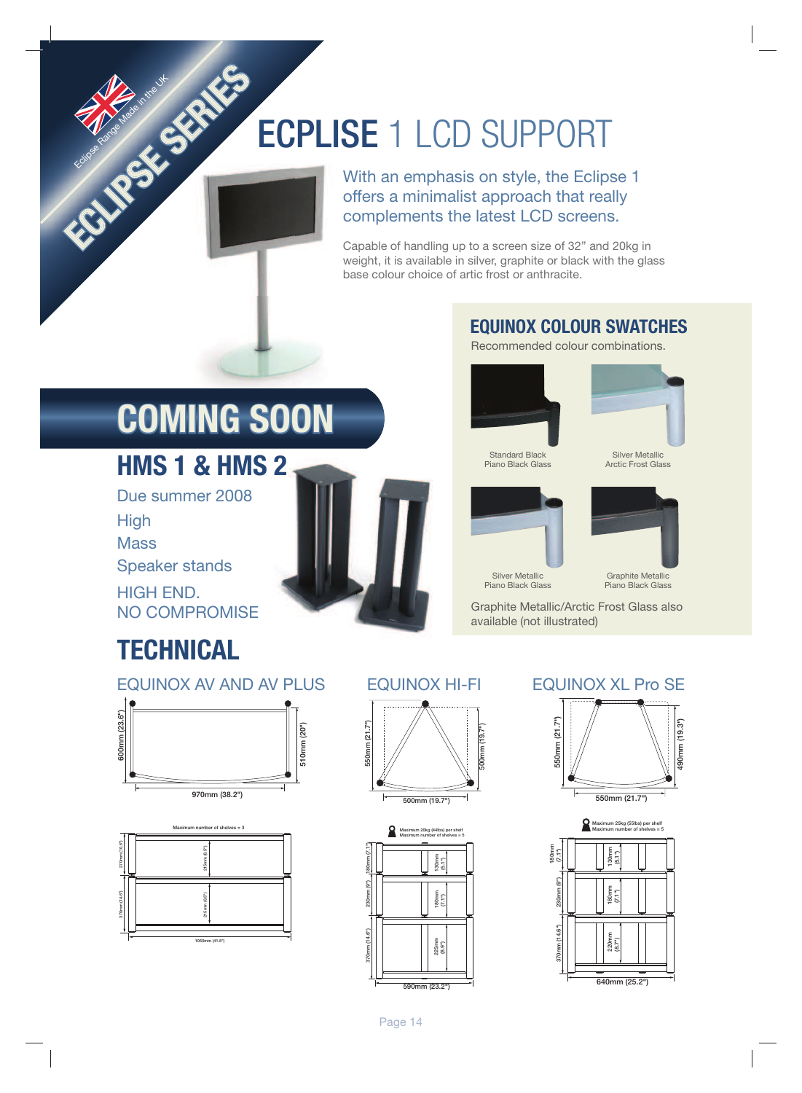# ECPLISE 1 LCD SUPPORT

With an emphasis on style, the Eclipse 1 offers a minimalist approach that really complements the latest LCD screens.

Capable of handling up to a screen size of 32" and 20kg in weight, it is available in silver, graphite or black with the glass base colour choice of artic frost or anthracite.

## **EQUINOX COLOUR SWATCHES**

Recommended colour combinations.



 Standard Black Piano Black Glass



 Silver Metallic Arctic Frost Glass



 Silver Metallic Piano Black Glass



Piano Black Glass

Graphite Metallic/Arctic Frost Glass also available (not illustrated)

# **COMING SOON**

## **HMS 1 & HMS 2**

ECLIPSE SERIES

Eclipse Range of Made in

Due summer 2008 **High Mass** Speaker stands HIGH END. NO COMPROMISE

# **TECHNICAL**







![](_page_1_Picture_22.jpeg)

![](_page_1_Figure_23.jpeg)

![](_page_1_Picture_25.jpeg)

![](_page_1_Figure_26.jpeg)